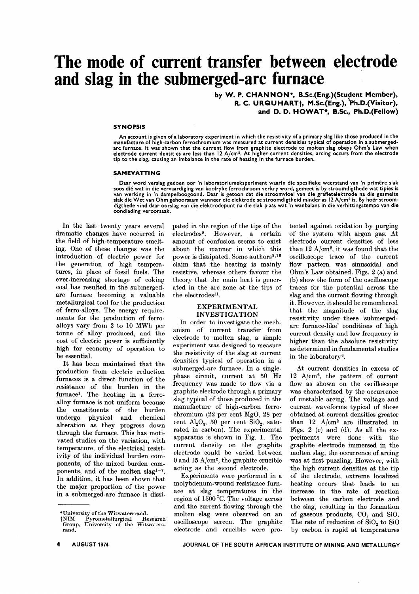# **The mode of current transfer between electrode and slag in the submerged-arc furnace .**

by W. P. CHANNON\*, B.Sc.(Eng.)(Student Member), R. C. URQUHART $\dagger$ , M.Sc.(Eng.),  $\overline{P}$ h.D.(Visitor), and D. D. HOWAT\*, B.Sc., Ph.D.(Fellow)

#### **SYNOPSIS**

An account is given of a laboratory experiment in which the resistivity of a primary slag like those produced in the<br>manufacture of high-carbon ferrochromium was measured at current densities typical of operation in a subm arc furnace. It was shown that the current flow from graphite electrode to molten slag obeys Ohm's Law wher<br>electrode current densities are less than 12 A/cmº. At higher current densities, arcing occurs from the electrod<br>t

#### SAMEVATTING

Daar word verslag gedoen oor 'n laboratoriumeksperiment waarin die spesifieke weerstand van 'n primêre slak soos dié wat in die vervaardiging van koolryke ferrochroom verkry word, gemeet is by stroomdigthede wat tipies is<br>van werking in 'n dampelboogoond. Daar is getoon dat die stroomvloei van die grafietelektrode na die gesmelt oondlading veroorsaak.

In the last twenty years several dramatic changes have occurred in the field of high-temperature smelting. One of these changes was the introduction of electric power for the generation of high temperatures, in place of fossil fuels. The ever-increasing shortage of coking coal has resulted in the submergedarc furnace becoming a valuable metallurgical tool for the production of ferro-alloys. The energy requirements for the production of ferroalloys vary from 2 to 10 MWh per tonne of alloy produced, and the cost of electric power is sufficiently high for economy of operation to be essential.

It has been maintained that the production from electric reduction furnaces is a direct function of the resistance of the burden in the furnace<sup>1</sup>. The heating in a ferroalloy furnace is not uniform because the constituents of the burden undergo physical and chemical alteration as they progress down through the furnace. This has motivated studies on the variation, with temperature, of the electrical resistivity of the individual burden components, of the mixed burden components, and of the molten slag<sup>1-7</sup>. In addition, it has been shown that the major proportion of the power in a submerged-arc furnace is dissipated in the region of the tips of the electrodes8. However, a certain amount of confusion seems to exist about the manner in which this power is dissipated. Some authors<sup>9,10</sup> claim that the heating is mainly resistive, whereas others favour the theory that the main heat is generated in the arc zone at the tips of the electrodes<sup>11</sup>.

#### EXPERIMENTAL INVESTIGATION

In order to investigate the mechanism of current transfer from electrode to molten slag, a simple experiment was designed to measure the resistivity of the slag at current densities typical of operation in a submerged-arc furnace. In a singlephase circuit, current at 50 Hz frequency was made to flow via a graphite electrode through a primary slag typical of those produced in the manufacture of high-carbon ferrochromium (22 per cent MgO, 28 per cent  $\text{Al}_2\text{O}_3$ , 50 per cent  $\text{SiO}_2$ , saturated in carbon). The experimental apparatus is shown in Fig. 1. The current density on the graphite electrode could be varied between 0 and 15 A/cm<sup>2</sup>, the graphite crucible acting as the second electrode.

Experiments were performed in a molybdenum-wound resistance furnace at slag temperatures in the region of  $1500^{\circ}$ C. The voltage across and the current flowing through the molten slag were observed on an oscilloscope screen. The graphite electrode and crucible were pro-

tected against oxidation by purging of the system with argon gas. At electrode current densities of less than 12  $A/cm^2$ , it was found that the oscilloscope trace of the current flow pattern was sinusoidal and Ohm's Law obtained. Figs. 2 (a) and (b) show the form of the oscilloscope traces for the potential across the slag and the current flowing through it. However, it should be remembered that the magnitude of the slag resistivity under these 'submergedarc furnace-like' conditions of high current density and low frequency is higher than the absolute resistivity as determined in fundamental studies in the laboratory 6.

At current densities in excess of 12 A/cm<sup>2</sup>, the pattern of current flow as shown on the oscilloscope was characterized by the occurrence of unstable arcing. The voltage and current waveforms typical of those obtained at current densities greater than  $12 \text{ A/cm}^2$  are illustrated in Figs. 2 (c) and (d). As all the experiments were done with the graphite electrode immersed in the molten slag, the occurrence of arcing was at first puzzling. However, with the high current densities at the tip of the electrode, extreme localized heating occurs that leads to an increase in the rate of reaction between the carbon electrode and the slag, resulting in the formation of gaseous products, CO, and SiO. The rate of reduction of  $SiO<sub>2</sub>$  to  $SiO$ by carbon is rapid at temperatures

<sup>\*</sup>University of the Witwatersrand.<br>†NIM Pyrometallurgical Re

tNIM Pyrometallurgical Research Group, University of the Witwatersrand.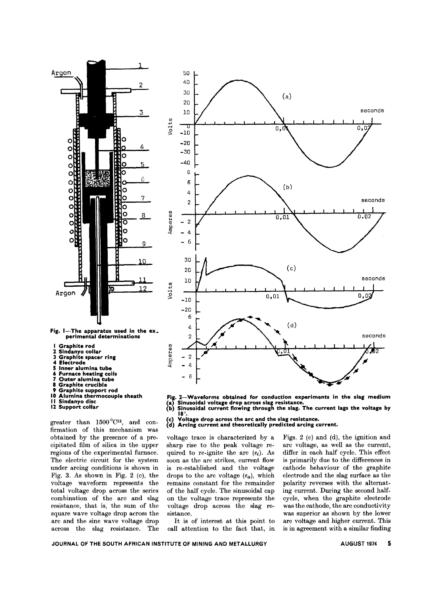

- **I Graphite rod**
- 
- **2 Sindanyo collar J Graphite spacer ring**
- 
- **4 Electrode 5 Inner alumina tube**
- **6 Furnace heating coils**
- **7 Outer alumina tube**
- **8 Graphite crucible**
- **9 Graphite support rod**
- **10 Alumina thermocouple sheath**
- **II Sindanyo disc**
- **12 Support collar**

greater than  $1500^{\circ}C^{12}$ , and confirmation of this mechanism was obtained by the presence of a precipitated film of silica in the upper regions of the experimental furnace. The electric circuit for the system under arcing conditions is shown in Fig. 3. As shown in Fig. 2 (c), the voltage waveform represents the total voltage drop across the series combination of the arc and slag resistance, that is, the sum of the square wave voltage drop across the arc and the sine wave voltage drop across the slag resistance. The



- **Fig. 2-Waveforms obtained for conduction experiments in the slag medium** (a) Sinusoidal voltage drop across slag resistance.<br>(b) Sinusoidal current flowing through the slag. The current lags the voltage by
- 18°. **(c) Voltage drop across the arc and the slag resistance.**
- **(d) Arcing current and theoretically predicted arcing current.**

voltage trace is characterized by a sharp rise to the peak voltage required to re-ignite the arc  $(e_i)$ . As soon as the arc strikes, current flow is re. established and the voltage drops to the arc voltage  $(e_a)$ , which remains constant for the remainder of the half cycle. The sinusoidal cap on the voltage trace represents the voltage drop across the slag resistance.

It is of interest at this point to call attention to the fact that, in Figs. 2 (c) and (d), the ignition and arc voltage, as well as the current, differ in each half cycle. This effect is primarily due to the differences in cathode behaviour of the graphite electrode and the slag surface as the polarity reverses with the alternat. ing current. During the second halfcycle, when the graphite electrode was the cathode, the arc conductivity was superior as shown by the lower arc voltage and higher current. This is in agreement with a similar finding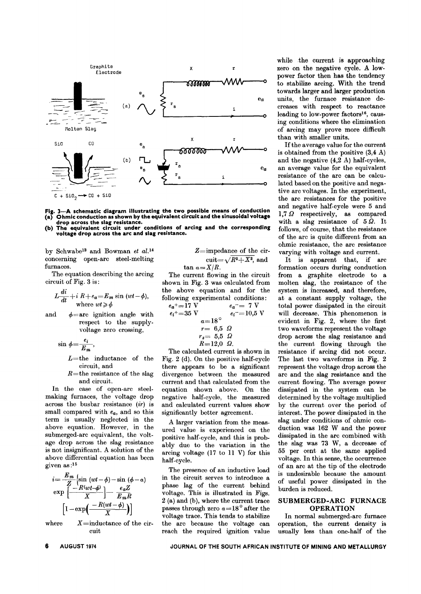

Fig. 3—A schematic diagram illustrating the two possible means of conduction (a) Ohmic conduction as shown by the equivalent circuit and the sinusoidal voltage drop across the slag resistance.

The equivalent circuit under conditions of arcing and the corresponding  $(b)$ voltage drop across the arc and slag resistance.

by Schwabe<sup>13</sup> and Bowman et al.<sup>14</sup> concerning open-arc steel-melting furnaces.

The equation describing the arcing circuit of Fig. 3 is:

$$
L\frac{di}{dt} + i R + e_a = E_m \sin{(wt - \phi)},
$$
  
where  $wt \ge \phi$ 

and  $\phi$ =are ignition angle with respect to the supplyvoltage zero crossing,

$$
\sin \phi = \frac{e_i}{E_m},
$$

 $L$ =the inductance of the circuit, and

 $R$ =the resistance of the slag and circuit.

In the case of open-arc steelmaking furnaces, the voltage drop across the busbar resistance  $(ir)$  is small compared with  $e_a$ , and so this term is usually neglected in the above equation. However, in the submerged-arc equivalent, the voltage drop across the slag resistance is not insignificant. A solution of the above differential equation has been given as:15

$$
i = \frac{E_m}{Z} \left\{ \sin{(wt - \phi)} - \sin{(\phi - \alpha)} \right.
$$
  
\n
$$
exp\left[\frac{-R(wt - \phi)}{X}\right] - \frac{e_a Z}{E_m R}
$$
  
\n
$$
\left[1 - exp\left(\frac{-R(wt - \phi)}{X}\right)\right]
$$

where  $X=$ inductance of the circuit

Z=impedance of the cir-  
cuit=
$$
\sqrt{R^2+X^2}
$$
, and  
tan  $a=X/R$ .

The current flowing in the circuit shown in Fig. 3 was calculated from the above equation and for the following experimental conditions:

$$
e_{a}^{+}=17 \text{ V} \qquad e_{a}^{-}=7 \text{ V}
$$
  
\n
$$
e_{i}^{+}=35 \text{ V} \qquad e_{i}^{-}=10,5 \text{ V}
$$
  
\n
$$
\alpha=18^{\circ} \qquad e_{i}^{-}=10,5 \text{ V}
$$
  
\n
$$
r=6,5 \text{ }\Omega
$$
  
\n
$$
r_{s}=5,5 \text{ }\Omega
$$
  
\n
$$
R=12,0 \text{ }\Omega.
$$

The calculated current is shown in Fig. 2 (d). On the positive half-cycle there appears to be a significant divergence between the measured current and that calculated from the equation shown above. On the negative half-cycle, the measured and calculated current values show significantly better agreement.

A larger variation from the measured value is experienced on the positive half-cycle, and this is probably due to the variation in the arcing voltage (17 to 11 V) for this half-cycle.

The presence of an inductive load in the circuit serves to introduce a phase lag of the current behind voltage. This is illustrated in Figs. 2 (a) and (b), where the current trace passes through zero  $a=18^{\circ}$  after the voltage trace. This tends to stabilize the arc because the voltage can reach the required ignition value

while the current is approaching zero on the negative cycle. A lowpower factor then has the tendency to stabilize arcing. With the trend towards larger and larger production units, the furnace resistance decreases with respect to reactance leading to low-power factors<sup>16</sup>, causing conditions where the elimination of arcing may prove more difficult than with smaller units.

If the average value for the current is obtained from the positive  $(3,4 A)$ and the negative  $(4,2\ A)$  half-cycles, an average value for the equivalent resistance of the arc can be calculated based on the positive and negative arc voltages. In the experiment, the arc resistances for the positive and negative half-cycle were 5 and 1,7  $\Omega$  respectively, as compared with a slag resistance of  $5\Omega$ . It follows, of course, that the resistance of the arc is quite different from an ohmic resistance, the arc resistance varying with voltage and current.

It is apparent that, if are formation occurs during conduction from a graphite electrode to a molten slag, the resistance of the system is increased, and therefore, at a constant supply voltage, the total power dissipated in the circuit will decrease. This phenomenon is evident in Fig. 2, where the first two waveforms represent the voltage drop across the slag resistance and the current flowing through the resistance if arcing did not occur. The last two waveforms in Fig. 2 represent the voltage drop across the are and the slag resistance and the current flowing. The average power dissipated in the system can be determined by the voltage multiplied by the current over the period of interest. The power dissipated in the slag under conditions of ohmic conduction was 162 W and the power dissipated in the arc combined with the slag was 73 W, a decrease of 55 per cent at the same applied voltage. In this sense, the occurrence of an arc at the tip of the electrode is undesirable because the amount of useful power dissipated in the burden is reduced.

#### SUBMERGED-ARC FURNACE **OPERATION**

In normal submerged-arc furnace operation, the current density is usually less than one-half of the